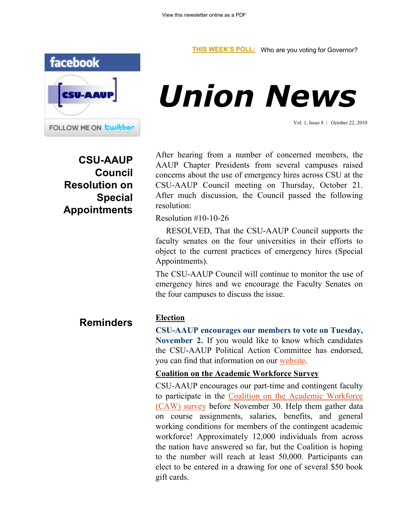

# *Union News*

Vol. 1, Issue 8 | October 22, 2010

**CSU-AAUP Council Resolution on Special Appointments** After hearing from a number of concerned members, the AAUP Chapter Presidents from several campuses raised concerns about the use of emergency hires across CSU at the CSU-AAUP Council meeting on Thursday, October 21. After much discussion, the Council passed the following resolution:

Resolution #10-10-26

 RESOLVED, That the CSU-AAUP Council supports the faculty senates on the four universities in their efforts to object to the current practices of emergency hires (Special Appointments).

The CSU-AAUP Council will continue to monitor the use of emergency hires and we encourage the Faculty Senates on the four campuses to discuss the issue.

**Reminders**

## **Election**

**CSU-AAUP encourages our members to vote on Tuesday, November 2.** If you would like to know which candidates the CSU-AAUP Political Action Committee has endorsed, you can find that information on our [website.](http://www.csuaaup.org/wp-content/uploads/2010/10/PAC-Endorsements-List-2010.xls)

# **Coalition on the Academic Workforce Survey**

CSU-AAUP encourages our part-time and contingent faculty to participate in the [Coalition on the Academic Workforce](http://www.surveymonkey.com/s/VNNNRVS)  [\(CAW\) survey](http://www.surveymonkey.com/s/VNNNRVS) before November 30. Help them gather data on course assignments, salaries, benefits, and general working conditions for members of the contingent academic workforce! Approximately 12,000 individuals from across the nation have answered so far, but the Coalition is hoping to the number will reach at least 50,000. Participants can elect to be entered in a drawing for one of several \$50 book gift cards.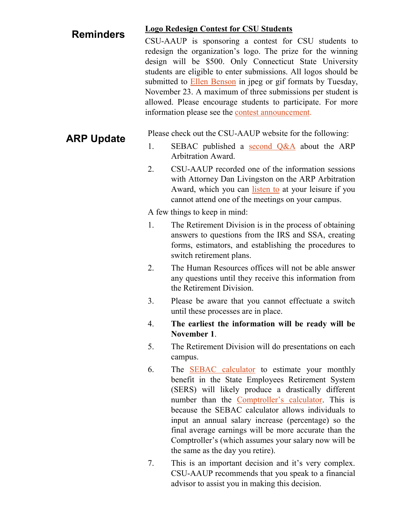### **Logo Redesign Contest for CSU Students Reminders**

CSU-AAUP is sponsoring a contest for CSU students to redesign the organization's logo. The prize for the winning design will be \$500. Only Connecticut State University students are eligible to enter submissions. All logos should be submitted to [Ellen Benson](mailto:bensonell@ccsu.edu) in jpeg or gif formats by Tuesday, November 23. A maximum of three submissions per student is allowed. Please encourage students to participate. For more information please see the [contest announcement.](http://www.csuaaup.org/wp-content/uploads/2010/09/LogoContestAnnouncement.doc)

**ARP Update** Please check out the CSU-AAUP website for the following:<br>1. SEBAC published a second O&A about the AR

- SEBAC published a [second Q&A](http://www.csuaaup.org/wp-content/uploads/2010/10/ARP-AWARD-QUESTIONS-CHART-II-after-leadership-review.doc) about the ARP Arbitration Award.
- 2. CSU-AAUP recorded one of the information sessions with Attorney Dan Livingston on the ARP Arbitration Award, which you can [listen to](http://www.csuaaup.org/wp-content/uploads/2010/10/Joined.lite_.mp3) at your leisure if you cannot attend one of the meetings on your campus.

A few things to keep in mind:

- 1. The Retirement Division is in the process of obtaining answers to questions from the IRS and SSA, creating forms, estimators, and establishing the procedures to switch retirement plans.
- 2. The Human Resources offices will not be able answer any questions until they receive this information from the Retirement Division.
- 3. Please be aware that you cannot effectuate a switch until these processes are in place.
- 4. **The earliest the information will be ready will be November 1**.
- 5. The Retirement Division will do presentations on each campus.
- 6. The [SEBAC calculator](http://www.csuaaup.org/wp-content/uploads/2010/07/SERSestimator.xls) to estimate your monthly benefit in the State Employees Retirement System (SERS) will likely produce a drastically different number than the [Comptroller's calculator](http://www.osc.state.ct.us/empret/tier2summ/workshop/disclaimer.htm). This is because the SEBAC calculator allows individuals to input an annual salary increase (percentage) so the final average earnings will be more accurate than the Comptroller's (which assumes your salary now will be the same as the day you retire).
- 7. This is an important decision and it's very complex. CSU-AAUP recommends that you speak to a financial advisor to assist you in making this decision.